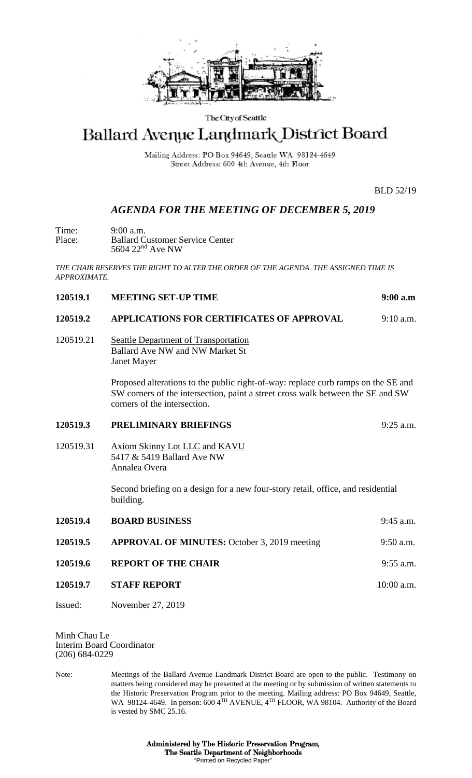

#### The City of Seattle

# Ballard Avenue Landmark District Board

Mailing Address: PO Box 94649, Seattle WA 98124-4649 Street Address: 600 4th Avenue, 4th Floor

BLD 52/19

## *AGENDA FOR THE MEETING OF DECEMBER 5, 2019*

Time: 9:00 a.m.<br>Place: Ballard C Place: Ballard Customer Service Center  $5604$   $22<sup>nd</sup>$  Ave NW

*THE CHAIR RESERVES THE RIGHT TO ALTER THE ORDER OF THE AGENDA. THE ASSIGNED TIME IS APPROXIMATE.*

|  | 120519.1 | <b>MEETING SET-UP TIME</b> | 9:00a.m |
|--|----------|----------------------------|---------|
|--|----------|----------------------------|---------|

#### **120519.2 APPLICATIONS FOR CERTIFICATES OF APPROVAL** 9:10 a.m.

### 120519.21 Seattle Department of Transportation Ballard Ave NW and NW Market St Janet Mayer

Proposed alterations to the public right-of-way: replace curb ramps on the SE and SW corners of the intersection, paint a street cross walk between the SE and SW corners of the intersection.

#### **120519.3 PRELIMINARY BRIEFINGS** 9:25 a.m.

120519.31 Axiom Skinny Lot LLC and KAVU 5417 & 5419 Ballard Ave NW Annalea Overa

> Second briefing on a design for a new four-story retail, office, and residential building.

| 120519.4 | <b>BOARD BUSINESS</b>                               | $9:45$ a.m.  |
|----------|-----------------------------------------------------|--------------|
| 120519.5 | <b>APPROVAL OF MINUTES:</b> October 3, 2019 meeting | $9:50$ a.m.  |
| 120519.6 | <b>REPORT OF THE CHAIR</b>                          | $9:55$ a.m.  |
| 120519.7 | <b>STAFF REPORT</b>                                 | $10:00$ a.m. |

Issued: November 27, 2019

Minh Chau Le Interim Board Coordinator (206) 684-0229

Note: Meetings of the Ballard Avenue Landmark District Board are open to the public. Testimony on matters being considered may be presented at the meeting or by submission of written statements to the Historic Preservation Program prior to the meeting. Mailing address: PO Box 94649, Seattle, WA 98124-4649. In person: 600 4TH AVENUE, 4TH FLOOR, WA 98104. Authority of the Board is vested by SMC 25.16.